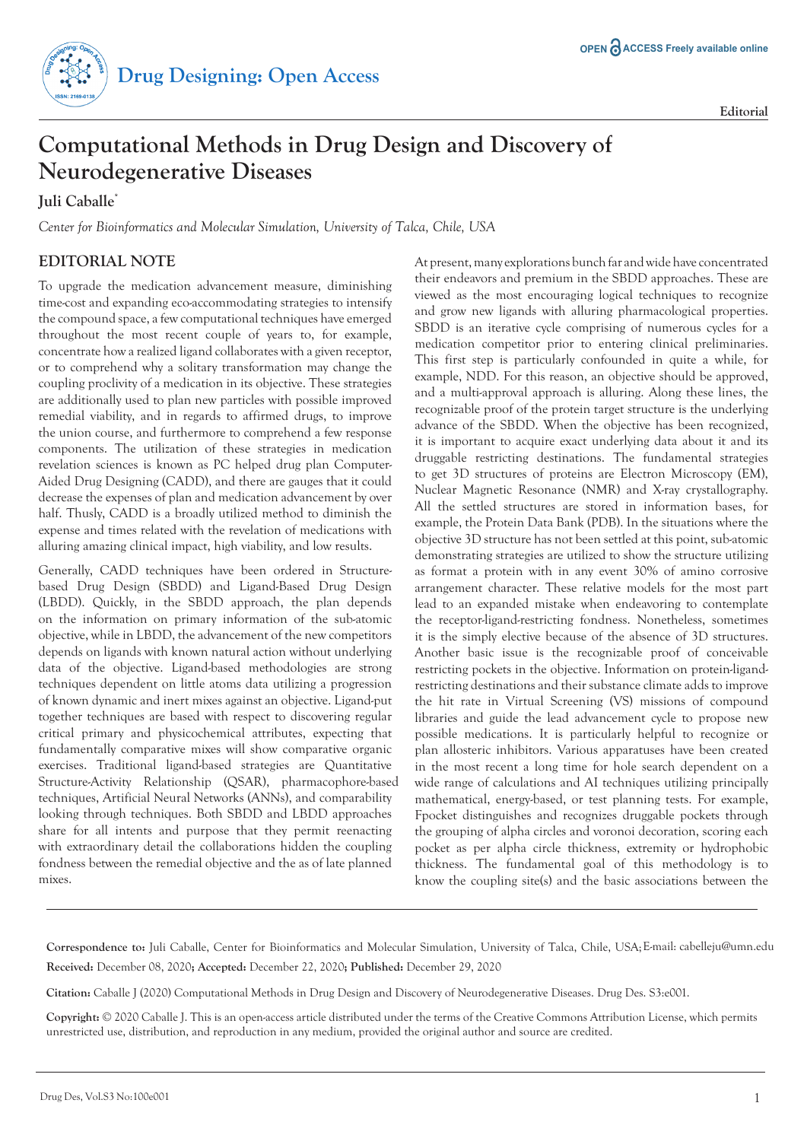

**Editorial**

## **Computational Methods in Drug Design and Discovery of Neurodegenerative Diseases**

**Juli Caballe\***

*Center for Bioinformatics and Molecular Simulation, University of Talca, Chile, USA*

## **EDITORIAL NOTE**

To upgrade the medication advancement measure, diminishing time-cost and expanding eco-accommodating strategies to intensify the compound space, a few computational techniques have emerged throughout the most recent couple of years to, for example, concentrate how a realized ligand collaborates with a given receptor, or to comprehend why a solitary transformation may change the coupling proclivity of a medication in its objective. These strategies are additionally used to plan new particles with possible improved remedial viability, and in regards to affirmed drugs, to improve the union course, and furthermore to comprehend a few response components. The utilization of these strategies in medication revelation sciences is known as PC helped drug plan Computer-Aided Drug Designing (CADD), and there are gauges that it could decrease the expenses of plan and medication advancement by over half. Thusly, CADD is a broadly utilized method to diminish the expense and times related with the revelation of medications with alluring amazing clinical impact, high viability, and low results.

Generally, CADD techniques have been ordered in Structurebased Drug Design (SBDD) and Ligand-Based Drug Design (LBDD). Quickly, in the SBDD approach, the plan depends on the information on primary information of the sub-atomic objective, while in LBDD, the advancement of the new competitors depends on ligands with known natural action without underlying data of the objective. Ligand-based methodologies are strong techniques dependent on little atoms data utilizing a progression of known dynamic and inert mixes against an objective. Ligand-put together techniques are based with respect to discovering regular critical primary and physicochemical attributes, expecting that fundamentally comparative mixes will show comparative organic exercises. Traditional ligand-based strategies are Quantitative Structure-Activity Relationship (QSAR), pharmacophore-based techniques, Artificial Neural Networks (ANNs), and comparability looking through techniques. Both SBDD and LBDD approaches share for all intents and purpose that they permit reenacting with extraordinary detail the collaborations hidden the coupling fondness between the remedial objective and the as of late planned mixes.

At present, many explorations bunch far and wide have concentrated their endeavors and premium in the SBDD approaches. These are viewed as the most encouraging logical techniques to recognize and grow new ligands with alluring pharmacological properties. SBDD is an iterative cycle comprising of numerous cycles for a medication competitor prior to entering clinical preliminaries. This first step is particularly confounded in quite a while, for example, NDD. For this reason, an objective should be approved, and a multi-approval approach is alluring. Along these lines, the recognizable proof of the protein target structure is the underlying advance of the SBDD. When the objective has been recognized, it is important to acquire exact underlying data about it and its druggable restricting destinations. The fundamental strategies to get 3D structures of proteins are Electron Microscopy (EM), Nuclear Magnetic Resonance (NMR) and X-ray crystallography. All the settled structures are stored in information bases, for example, the Protein Data Bank (PDB). In the situations where the objective 3D structure has not been settled at this point, sub-atomic demonstrating strategies are utilized to show the structure utilizing as format a protein with in any event 30% of amino corrosive arrangement character. These relative models for the most part lead to an expanded mistake when endeavoring to contemplate the receptor-ligand-restricting fondness. Nonetheless, sometimes it is the simply elective because of the absence of 3D structures. Another basic issue is the recognizable proof of conceivable restricting pockets in the objective. Information on protein-ligandrestricting destinations and their substance climate adds to improve the hit rate in Virtual Screening (VS) missions of compound libraries and guide the lead advancement cycle to propose new possible medications. It is particularly helpful to recognize or plan allosteric inhibitors. Various apparatuses have been created in the most recent a long time for hole search dependent on a wide range of calculations and AI techniques utilizing principally mathematical, energy-based, or test planning tests. For example, Fpocket distinguishes and recognizes druggable pockets through the grouping of alpha circles and voronoi decoration, scoring each pocket as per alpha circle thickness, extremity or hydrophobic thickness. The fundamental goal of this methodology is to know the coupling site(s) and the basic associations between the

**Correspondence to:** Juli Caballe, Center for Bioinformatics and Molecular Simulation, University of Talca, Chile, USA; E-mail: cabelleju@umn.edu **Received:** December 08, 2020**; Accepted:** December 22, 2020**; Published:** December 29, 2020

**Citation:** Caballe J (2020) Computational Methods in Drug Design and Discovery of Neurodegenerative Diseases. Drug Des. S3:e001.

**Copyright:** © 2020 Caballe J. This is an open-access article distributed under the terms of the Creative Commons Attribution License, which permits unrestricted use, distribution, and reproduction in any medium, provided the original author and source are credited.